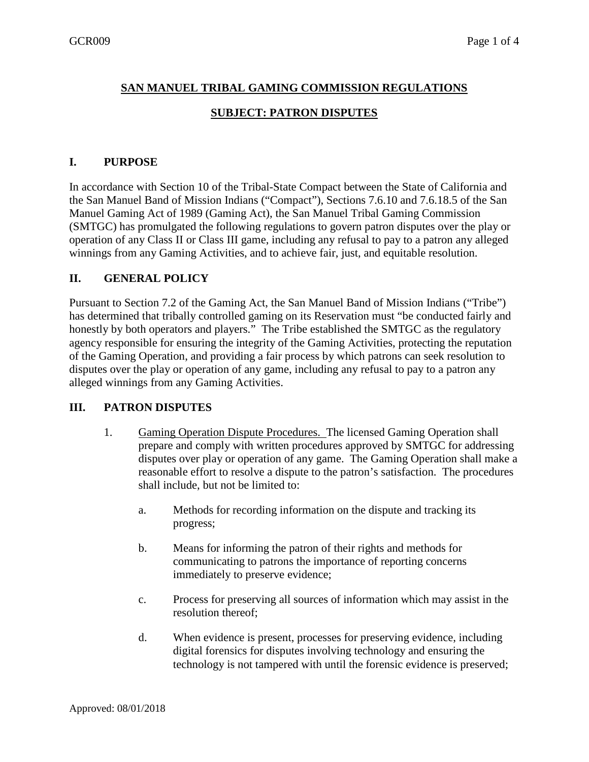# **SAN MANUEL TRIBAL GAMING COMMISSION REGULATIONS**

# **SUBJECT: PATRON DISPUTES**

### **I. PURPOSE**

In accordance with Section 10 of the Tribal-State Compact between the State of California and the San Manuel Band of Mission Indians ("Compact"), Sections 7.6.10 and 7.6.18.5 of the San Manuel Gaming Act of 1989 (Gaming Act), the San Manuel Tribal Gaming Commission (SMTGC) has promulgated the following regulations to govern patron disputes over the play or operation of any Class II or Class III game, including any refusal to pay to a patron any alleged winnings from any Gaming Activities, and to achieve fair, just, and equitable resolution.

# **II. GENERAL POLICY**

Pursuant to Section 7.2 of the Gaming Act, the San Manuel Band of Mission Indians ("Tribe") has determined that tribally controlled gaming on its Reservation must "be conducted fairly and honestly by both operators and players." The Tribe established the SMTGC as the regulatory agency responsible for ensuring the integrity of the Gaming Activities, protecting the reputation of the Gaming Operation, and providing a fair process by which patrons can seek resolution to disputes over the play or operation of any game, including any refusal to pay to a patron any alleged winnings from any Gaming Activities.

#### **III. PATRON DISPUTES**

- 1. Gaming Operation Dispute Procedures. The licensed Gaming Operation shall prepare and comply with written procedures approved by SMTGC for addressing disputes over play or operation of any game. The Gaming Operation shall make a reasonable effort to resolve a dispute to the patron's satisfaction. The procedures shall include, but not be limited to:
	- a. Methods for recording information on the dispute and tracking its progress;
	- b. Means for informing the patron of their rights and methods for communicating to patrons the importance of reporting concerns immediately to preserve evidence;
	- c. Process for preserving all sources of information which may assist in the resolution thereof;
	- d. When evidence is present, processes for preserving evidence, including digital forensics for disputes involving technology and ensuring the technology is not tampered with until the forensic evidence is preserved;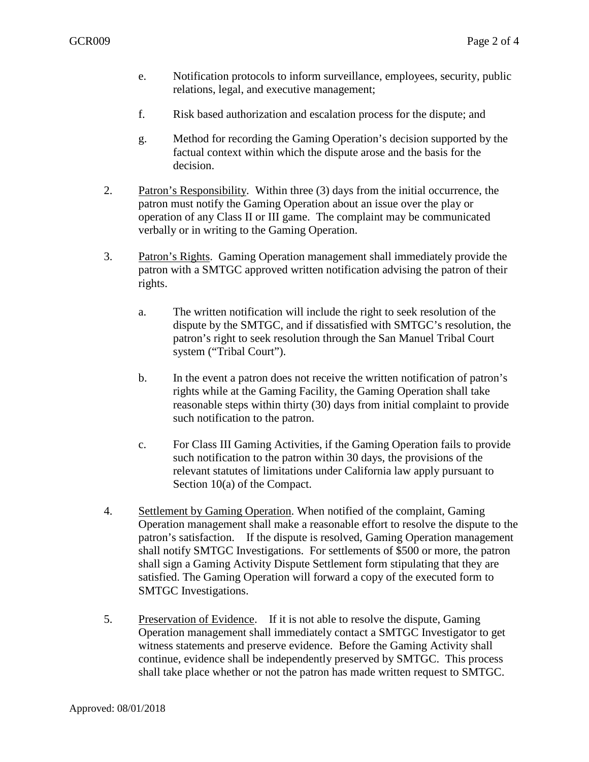- e. Notification protocols to inform surveillance, employees, security, public relations, legal, and executive management;
- f. Risk based authorization and escalation process for the dispute; and
- g. Method for recording the Gaming Operation's decision supported by the factual context within which the dispute arose and the basis for the decision.
- 2. Patron's Responsibility. Within three (3) days from the initial occurrence, the patron must notify the Gaming Operation about an issue over the play or operation of any Class II or III game. The complaint may be communicated verbally or in writing to the Gaming Operation.
- 3. Patron's Rights. Gaming Operation management shall immediately provide the patron with a SMTGC approved written notification advising the patron of their rights.
	- a. The written notification will include the right to seek resolution of the dispute by the SMTGC, and if dissatisfied with SMTGC's resolution, the patron's right to seek resolution through the San Manuel Tribal Court system ("Tribal Court").
	- b. In the event a patron does not receive the written notification of patron's rights while at the Gaming Facility, the Gaming Operation shall take reasonable steps within thirty (30) days from initial complaint to provide such notification to the patron.
	- c. For Class III Gaming Activities, if the Gaming Operation fails to provide such notification to the patron within 30 days, the provisions of the relevant statutes of limitations under California law apply pursuant to Section 10(a) of the Compact.
- 4. Settlement by Gaming Operation. When notified of the complaint, Gaming Operation management shall make a reasonable effort to resolve the dispute to the patron's satisfaction. If the dispute is resolved, Gaming Operation management shall notify SMTGC Investigations. For settlements of \$500 or more, the patron shall sign a Gaming Activity Dispute Settlement form stipulating that they are satisfied. The Gaming Operation will forward a copy of the executed form to SMTGC Investigations.
- 5. Preservation of Evidence. If it is not able to resolve the dispute, Gaming Operation management shall immediately contact a SMTGC Investigator to get witness statements and preserve evidence. Before the Gaming Activity shall continue, evidence shall be independently preserved by SMTGC. This process shall take place whether or not the patron has made written request to SMTGC.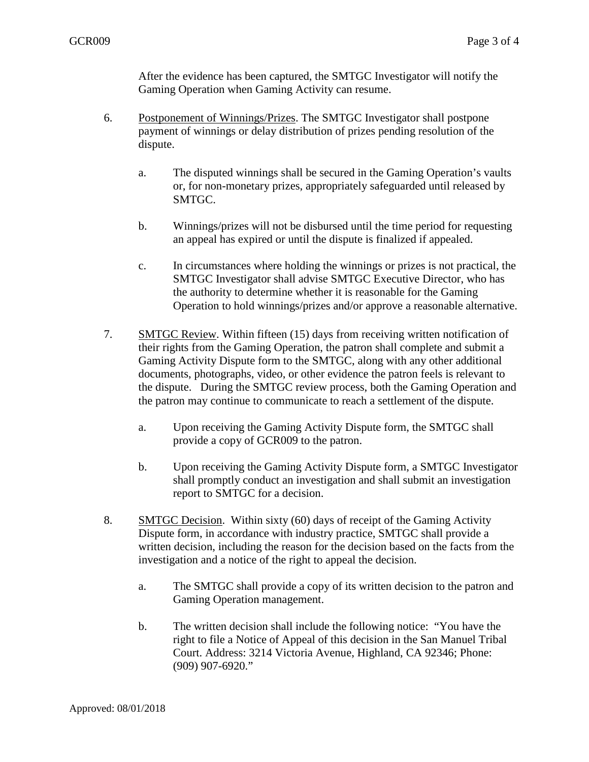After the evidence has been captured, the SMTGC Investigator will notify the Gaming Operation when Gaming Activity can resume.

- 6. Postponement of Winnings/Prizes. The SMTGC Investigator shall postpone payment of winnings or delay distribution of prizes pending resolution of the dispute.
	- a. The disputed winnings shall be secured in the Gaming Operation's vaults or, for non-monetary prizes, appropriately safeguarded until released by SMTGC.
	- b. Winnings/prizes will not be disbursed until the time period for requesting an appeal has expired or until the dispute is finalized if appealed.
	- c. In circumstances where holding the winnings or prizes is not practical, the SMTGC Investigator shall advise SMTGC Executive Director, who has the authority to determine whether it is reasonable for the Gaming Operation to hold winnings/prizes and/or approve a reasonable alternative.
- 7. SMTGC Review. Within fifteen (15) days from receiving written notification of their rights from the Gaming Operation, the patron shall complete and submit a Gaming Activity Dispute form to the SMTGC, along with any other additional documents, photographs, video, or other evidence the patron feels is relevant to the dispute. During the SMTGC review process, both the Gaming Operation and the patron may continue to communicate to reach a settlement of the dispute.
	- a. Upon receiving the Gaming Activity Dispute form, the SMTGC shall provide a copy of GCR009 to the patron.
	- b. Upon receiving the Gaming Activity Dispute form, a SMTGC Investigator shall promptly conduct an investigation and shall submit an investigation report to SMTGC for a decision.
- 8. SMTGC Decision. Within sixty (60) days of receipt of the Gaming Activity Dispute form, in accordance with industry practice, SMTGC shall provide a written decision, including the reason for the decision based on the facts from the investigation and a notice of the right to appeal the decision.
	- a. The SMTGC shall provide a copy of its written decision to the patron and Gaming Operation management.
	- b. The written decision shall include the following notice: "You have the right to file a Notice of Appeal of this decision in the San Manuel Tribal Court. Address: 3214 Victoria Avenue, Highland, CA 92346; Phone: (909) 907-6920."